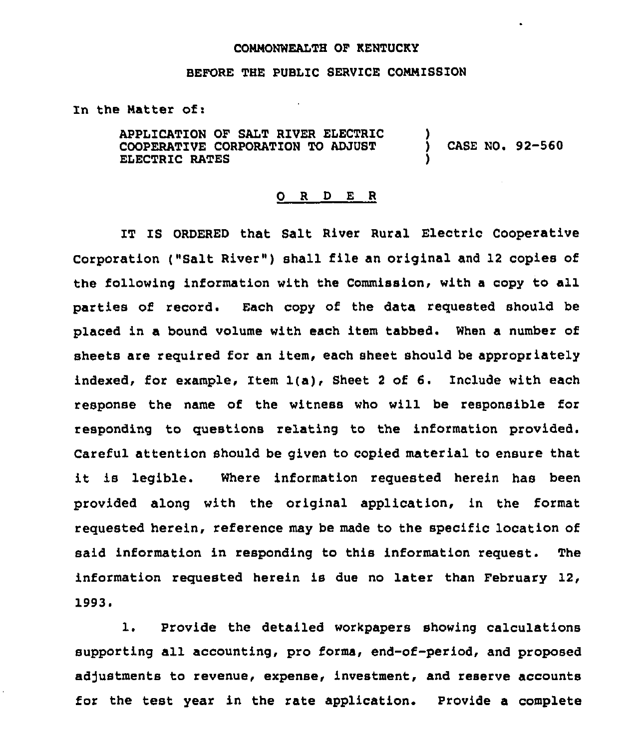### COMMONWEALTH OF KENTUCKY

## BEFORE THE PUBLIC SERVICE CONNISSZON

In the Natter of:

APPLICATION OF SALT RIVER ELECTRIC COOPERATIVE CORPORATION TO ADJUST ELECTRIC RATES ) ) CASE NO. 92-560 )

#### 0 <sup>R</sup> <sup>D</sup> E R

IT IS ORDERED that Salt River Rural Electric Cooperative Corporation ("Salt River") shall file an original and 12 copies of the following information with the Commission, with <sup>a</sup> copy to all parties of record. Each copy of the data requested should be placed in a bound volume with each item tabbed. When a number of sheets are required for an item, each sheet should be appropriately indexed, for example, Item 1(a), Sheet <sup>2</sup> of 6. Include with each response the name of the witness who will be responsible for responding to questions relating to the information provided. Careful attention should be given to copied material to ensure that it is legible. Where information requested herein has been provided along with the original application, in the format requested herein, reference may be made to the specific location of said information in responding to this information request. The information requested herein is due no later than February 12,<br>1993.<br>1. Provide the detailed workpapers showing calculations

Provide the detailed workpapers showing calculations supporting all accounting, pro forms, end-of-period, and proposed adjustments to revenue, expense, investment, and reserve accounts for the test year in the rate application. Provide a complete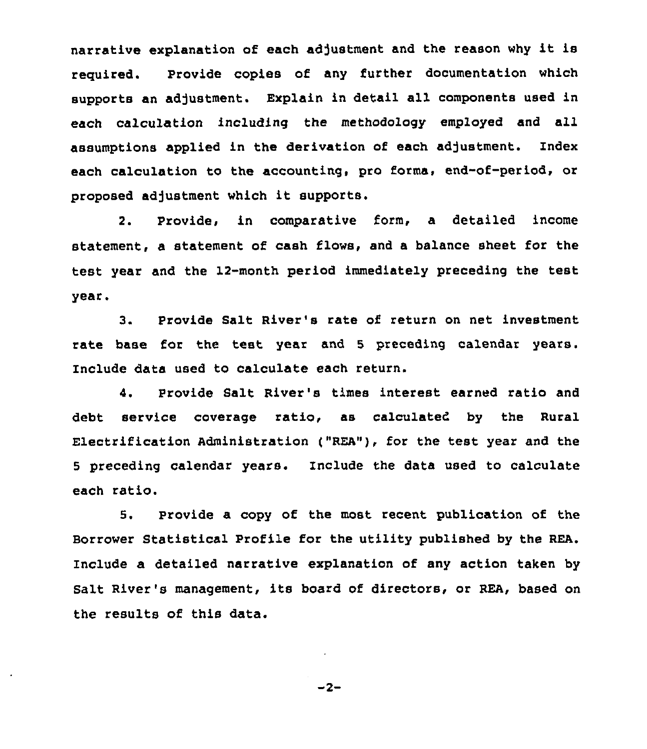narrative explanation of each adjustment and the reason why it is required. Provide copies of any further documentation which supports an adjustment. Explain in detail all components used in each calculation including the methodology employed and all assumptions applied in the derivation of each adjustment. Index each calculation to the accounting, pro forma, end-of-period, or proposed adjustment which it supports.

2. Provide, in comparative form, a detailed income statement, a statement of cash flows, and a balance sheet for the test year and the 12-month period immediately preceding the test year.

3. Provide Salt River's rate of return on net investment rate base for the test year and <sup>5</sup> preceding calendar years. Include data used to calculate each return.

4. Provide Salt River's times interest earned ratio and debt service coverage ratio, as calculated by the Rural Electrification Administration ("REA"), for the test year and the <sup>5</sup> preceding calendar years. Include the data used to calculate each ratio.

5. Provide a copy of the most recent publication of the Borrower Statistical Profile for the utility published by the REA. include a detailed narrative explanation of any action taken by Salt River's management, its board of directors, or REA, based on the results of this data.

 $-2-$ 

 $\sim$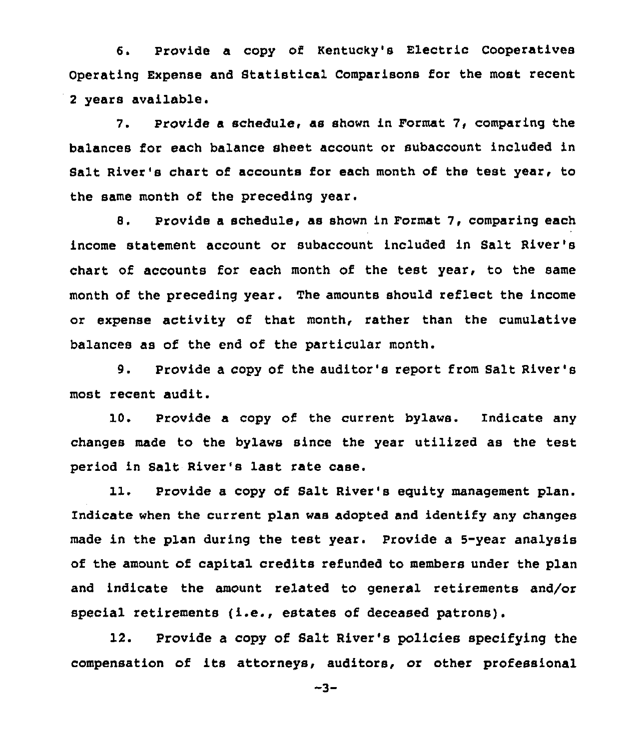6. Provide a copy of Kentucky's Electric Cooperatives operating Expense and Statistical comparisons for the most recent <sup>2</sup> years available.

7. Provide a schedule, as shown in Format 7, comparing the balances for each balance sheet account or subaccount included in Salt River's chart of accounts for each month of the test year, to the same month of the preceding year.

8. Provide a schedule, as shown in Format 7, comparing each income statement account or subaccount included in Salt River's chart of accounts for each month of the test year, to the same month of the preceding year. The amounts should reflect the income or expense activity of that month, rather than the cumulative balances as of the end of the particular month.

9. Provide a copy of the auditor's report from Salt River'8 most recent audit.

10. Provide a copy of the current bylaws. Indicate any changes made to the bylaws since the year utilized as the test period in Salt River's last rate case.

11. Provide a copy of Salt River's equity management plan. Indicate when the current plan was adopted and identify any changes made in the plan during the test year. Provide a 5-year analysis of the amount of capital credits refunded to members under the plan and indicate the amount related to general retirements and/or special retirements (i.e., estates of deceased patrons).

12. Provide a copy of Salt River's policies specifying the compensation of its attorneys, auditors, or other professional

 $-3-$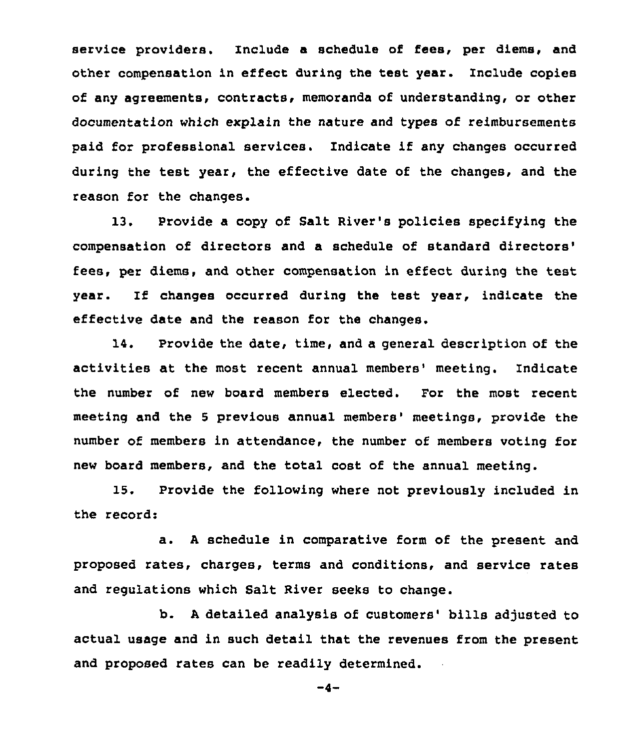service providers. Include a schedule of fees, per diems, and other compensation in effect during the test year. Include copies of any agreements, contracts, memoranda of understanding, or other documentation which explain the nature and types of reimbursements paid for professional services. Indicate if any changes occurred during the test year, the effective date of the changes, and the reason for the changes.

13. Provide a copy of Salt River's policies specifying the compensation of directors and a schedule of standard fees, per diems, and other compensation in effect during the test year. If changes occurred during the test year, indicate the effective date and the reason for the changes,

14. Provide the date, time, and a general description of the activities at the most recent annual members' meeting. Indicate the number of new board members elected. For the most recent meeting and the 5 previous annual members' meetings, provide the number of members in attendance, the number of members voting for new board members, and the total cost of the annual meeting.

15. Provide the following where not previously included in the record:

a. <sup>A</sup> schedule in comparative form of the present and proposed rates, charges, terms and conditions, and service rates and regulations which Salt River seeks to change.

b. A detailed analysis of customers' bills adjusted to actual usage and in such detail that the revenues from the present and proposed rates can be readily determined.

 $-4-$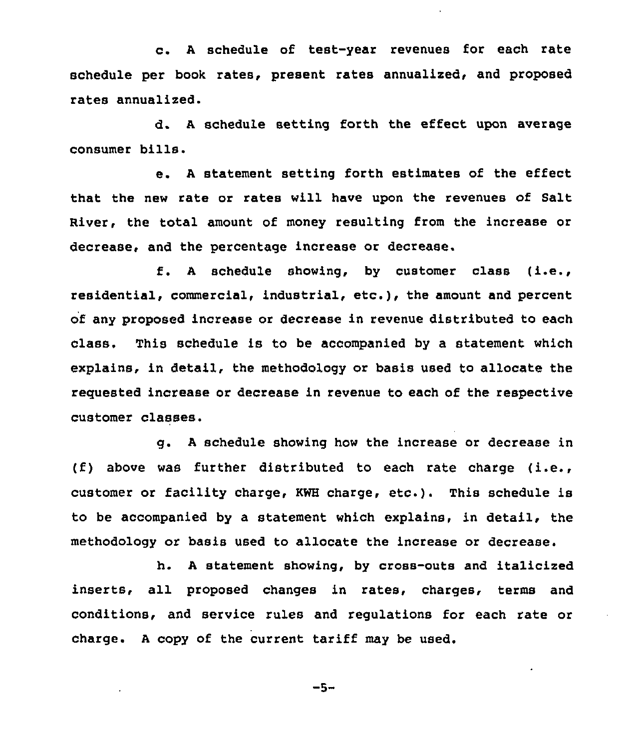c. <sup>A</sup> schedule of test-year revenues for each rate schedule per book rates, present rates annualized, and proposed rates annualized.

d. <sup>A</sup> schedule setting forth the effect upon average consumer bills.

e. <sup>A</sup> statement setting forth estimates of the effect that the new rate or rates will have upon the revenues of Salt River, the total amount of money resulting from the increase or decrease, and the percentage increase or decrease.

<sup>A</sup> schedule showing, by customer class (i.e., residential, commercial, industrial, etc.), the amount and percent of any proposed increase or decrease in revenue distributed to each class, This schedule is to be accompanied by a statement which explains, in detail, the methodology or basis used to allocate the requested increase or decrease in revenue to each of the respective customer classes.

g. <sup>A</sup> schedule showing how the increase or decrease in (f) above was further distributed to each rate charge (i.e., customer or facility charge, KWH charge, etc.). This schedule is to be accompanied by a statement which explains, in detail, the methodology or basis used to allocate the increase or decrease.

h. <sup>A</sup> statement showing, by cross-outs and italicized inserts, all proposed changes in rates, charges, terms and conditions, and service rules and regulations for each rate or charge. <sup>A</sup> copy of the current tariff may be used.

 $-5-$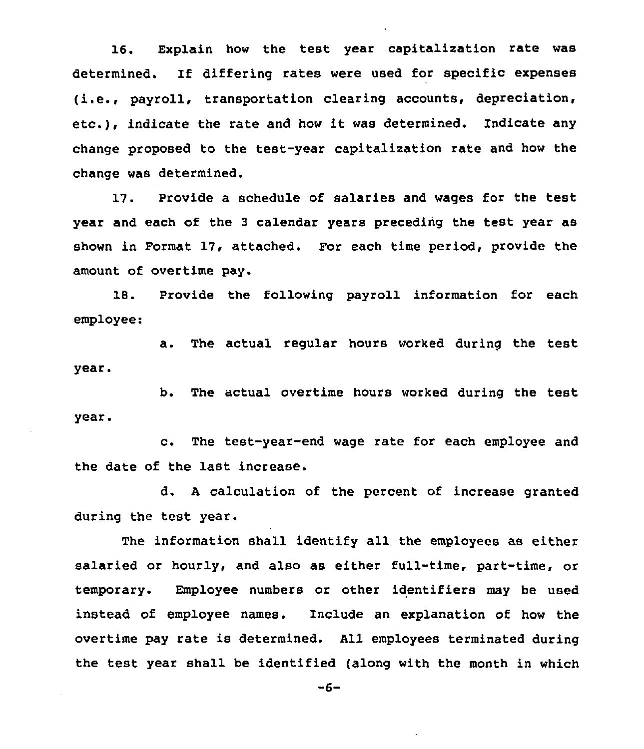16. Explain how the test year capitalization rate was determined. lf differing rates were used for specific expenses (i.e., payroll, transportation clearing accounts, depreciation, etc.), indicate the rate and how it was determined. Indicate any change proposed to the test-year capitalization rate and how the change was determined.

17. Provide a schedule of salaries and wages for the test year and each of the <sup>3</sup> calendar years preceding the test year as shown in Format 17, attached. For each time period, provide the amount of overtime pay.

18. Provide the following payroll information for each employee:

a. The actual regular hours worked during the test year.

b. The actual overtime hours worked during the test year.

c. The test-year-end wage rate for each employee and the date of the last increase.

d. <sup>A</sup> calculation of the percent of increase granted during the test year.

The information shall identify all the employees as either salaried or hourly, and also as either full-time, part-time, or temporary. Employee numbers or other identifiers may be used instead of employee names. Include an explanation of how the overtime pay rate is determined. All employees terminated during the test year shall be identified (along with the month in which

 $-6-$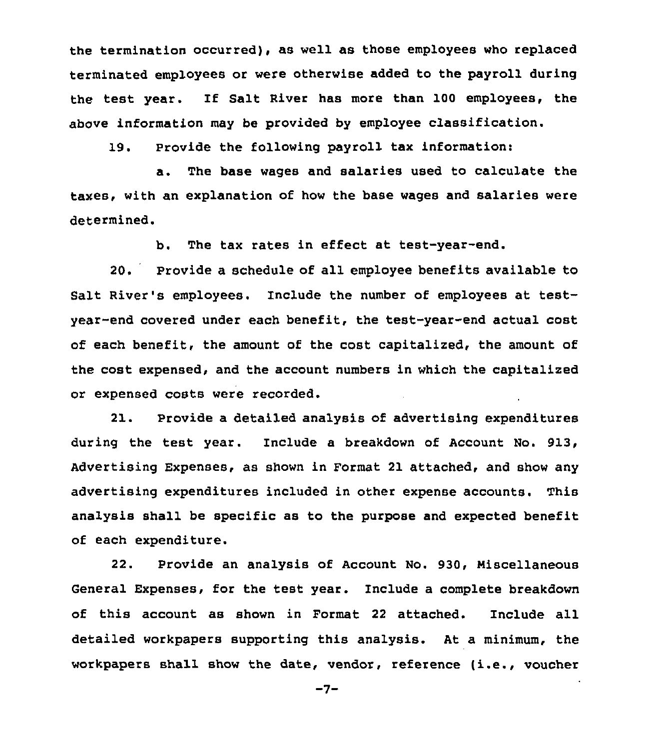the termination occurred), as well as those employees who replaced terminated employees or were otherwise added to the payroll during the test year. If Salt River has more than 100 employees, the above information may be provided by employee classification.

19. Provide the following payroll tax information:

a. The base wages and salaries used to calculate the taxes, with an explanation of how the base wages and salaries were determined.

b. The tax rates in effect at test-year-end,

20. Provide a schedule of all employee benefits available to Salt River's employees. Include the number of employees at testyear-end covered under each benefit, the test-year-end actual cost of each benefit, the amount of the cost, capitalized, the amount of the cost expensed, and the account numbers in which the capitalized or expensed costs were recorded.

21. Provide a detailed analysis of advertising expenditures during the test year. Include a breakdown of Account No. 913, Advertising Expenses, as shown in Format 21 attached, and show any advertising expenditures included in other expense accounts. This analysis shall be specific as to the purpose and expected benefit of each expenditure.

22. Provide an analysis of Account No. 930, Miscellaneous General Expenses, for the test year. Include a complete breakdown of this account as shown in Format <sup>22</sup> attached. Include all detailed workpapers supporting this analysis. At a minimum, the workpapers shall show the date, vendor, reference (i.e., voucher

 $-7-$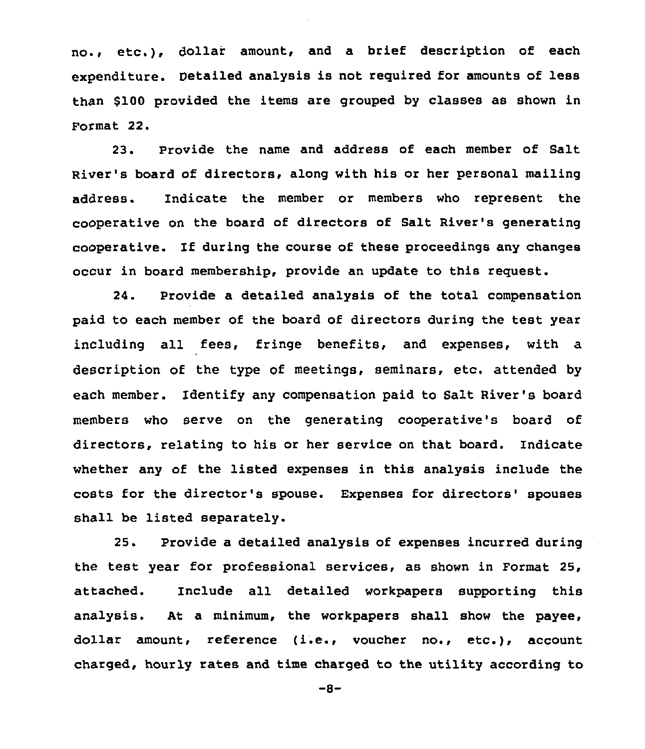no., etc.), dollai amount, and <sup>a</sup> brief description of each expenditure. Detailed analysis is not required for amounts of less than \$100 provided the items are grouped by classes as shown in Format 22.

23. Provide the name and address of each member of Salt River's board of directors, along with his or her personal mailing address. Indicate the member or members who represent the cooperative on the board of directors of Salt River's generating cooperative. If during the course of these proceedings any changes occur in board membership, provide an update to this request.

24. Provide a detailed analysis of the total compensation paid to each member of the board of directors during the test year including all fees, fringe benefits, and expenses, with a description of the type of meetings, seminars, etc. attended by each member. Identify any compensation paid to Salt River's board members who serve on the generating cooperative's board of directors, relating to his or her service on that board. Indicate whether any of the listed expenses in this analysis include the costs for the director's spouse. Expenses for directors'pouses shall be listed separately.

25. Provide a detailed analysis of expenses incurred during the test year for professional services, as shown in Format 25, attached. Include all detailed workpapers supporting this analysis. At a minimum, the workpapers shall show the payee, dollar amount, reference (i.e., voucher no., etc.), account charged, hourly rates and time charged to the utility according to

 $-8-$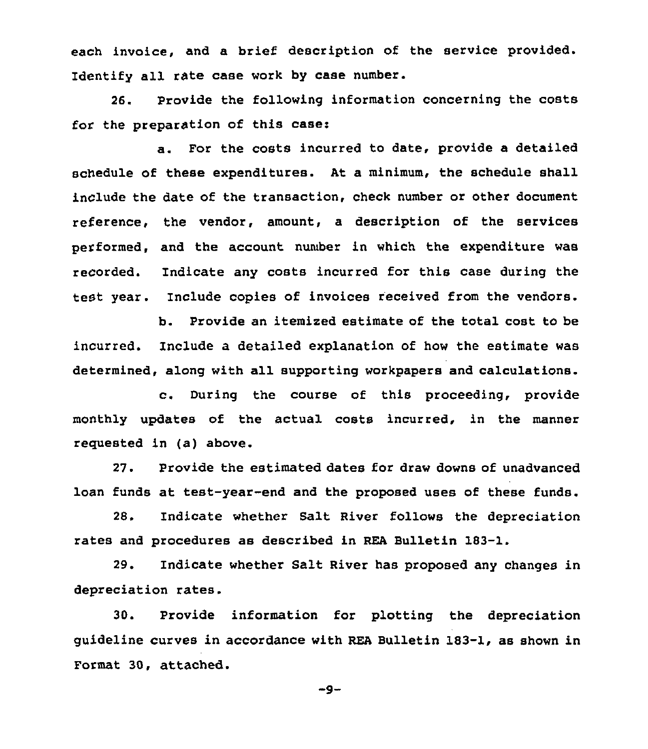each invoice, and a brief description of the service provided. Identify all rate case work by case number.

26. Provide the following information concerning the costs for the preparation of this case:

a. For the costs incurred to date, provide a detailed schedule of these expenditures. At a minimum, the schedule shall include the date of the transaction, check number or other document reference, the vendor, amount, a description of the services performed, and the account number in which the expenditure was reCorded. Indicate any costs incurred for this case during the test year. Include copies of invoices received from the vendors.

b. Provide an itemised estimate of the total cost to be incurred. Include a detailed explanation of how the estimate was determined, along with all supporting workpapers and calculations.

c. During the course of this proceeding, provide monthly updates of the actual costs incurred, in the manner reguested in (a) above.

27. Provide the estimated dates for draw downs of unadvanced loan funds at test-year-end and the proposed uses of these funds.

28. Indicate whether Salt River follows the depreciation rates and procedures as described in REA Bulletin 183-1.

29. Indicate whether Salt River has proposed any changes in depreciation rates.

30. Provide information for plotting the depreciation guideline curves in accordance with REA Bulletin 183-1, as shown in Format 30, attached.

 $-9-$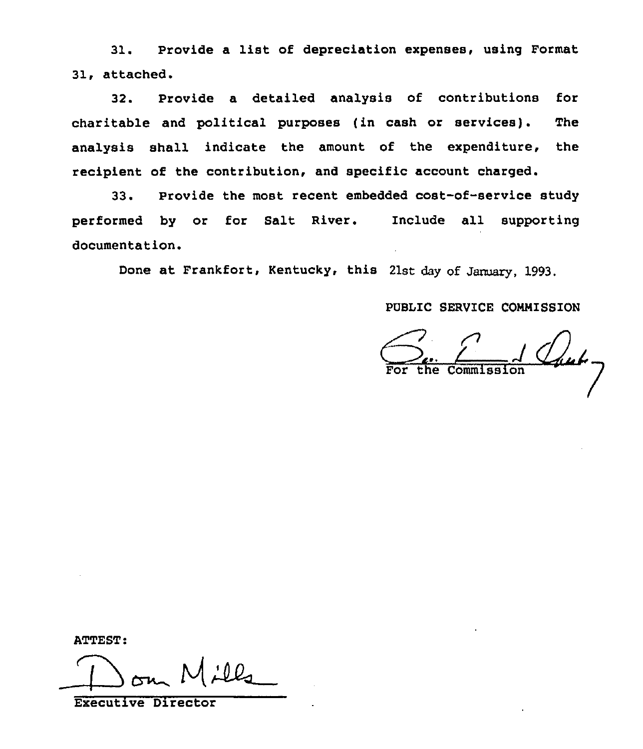31. Provide a list of depreciation expenses, using Format 31, attached.

32. Provide a detailed analysis of contributions for charitable and political purposes (in cash or services). The analysis shall indicate the amount of the expenditure, the recipient of the contribution, and specific account charged.

33. Provide the most recent embedded cost-of-service study performed by or for Salt River. Include all supporting documentation.

Done at Frankfort, Kentucky, this 21st day of January, 1993.

# PUBLIC SERVICE CONNISSION

Chub-For the Commission

ATTEST:

 $\bigoplus$ 

Executive Director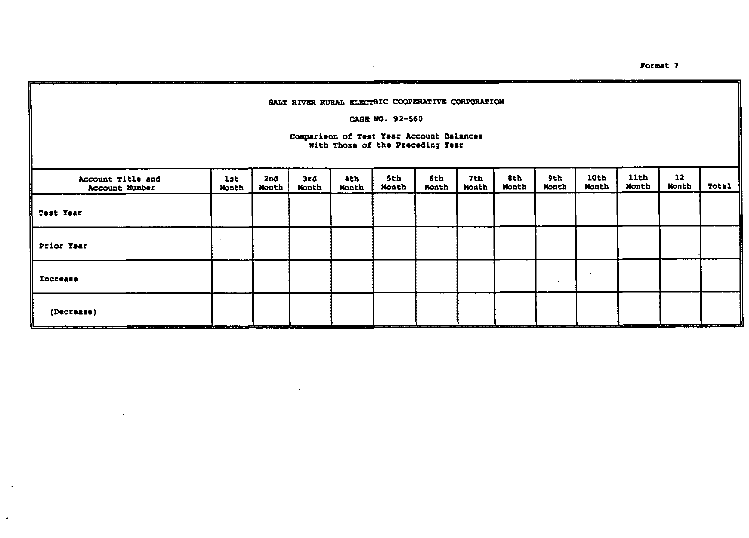Format 7

#### SALT RIVER RURAL ELECTRIC COOPERATIVE CORPORATION

 $\lambda$ 

#### CASE NO. 92-560

# Comparison of Test Year Account Balances<br>With Those of the Preceding Year

| Account Title and<br>Account Number | 12t<br>Month | 2nd<br>Month | 3rd<br><b>Nonth</b> | tth.<br><b>Month</b> | 5th<br>Month | 6th<br><b>Month</b> | 7th<br>Month | 8th<br>Month | 9th<br><b>Nonth</b> | 10th<br>Month | <b>11th</b><br>Month | 12<br><b>Nonth</b> | Total |
|-------------------------------------|--------------|--------------|---------------------|----------------------|--------------|---------------------|--------------|--------------|---------------------|---------------|----------------------|--------------------|-------|
| Test Year                           |              |              |                     |                      |              |                     |              |              |                     |               |                      |                    |       |
| Prior Year                          |              |              |                     |                      |              |                     |              |              |                     |               |                      |                    |       |
| Increase                            |              |              |                     |                      |              |                     |              |              |                     |               |                      |                    |       |
| (Decrease)                          |              |              |                     |                      |              |                     |              |              |                     |               |                      |                    |       |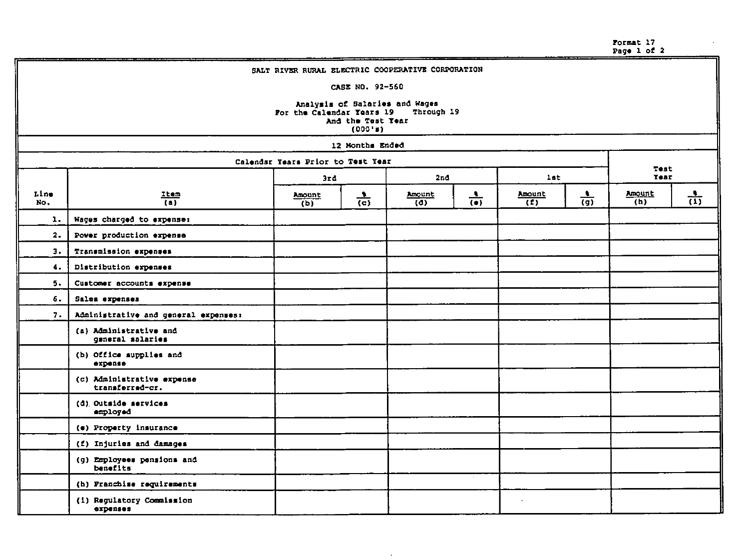| Format 17   |  |  |
|-------------|--|--|
| Page 1 of 2 |  |  |

|             |                                               |                                   |                              | SALT RIVER RURAL ELECTRIC COOPERATIVE CORPORATION |                 |                          |                 |                     |                 |
|-------------|-----------------------------------------------|-----------------------------------|------------------------------|---------------------------------------------------|-----------------|--------------------------|-----------------|---------------------|-----------------|
|             |                                               |                                   | CASE NO. 92-560              |                                                   |                 |                          |                 |                     |                 |
|             |                                               | For the Calendar Years 19         | And the Test Tear<br>(000"") | Analysis of Salaries and Wages<br>Through 19      |                 |                          |                 |                     |                 |
|             |                                               |                                   | 12 Months Ended              |                                                   |                 |                          |                 |                     |                 |
|             |                                               | Calendar Years Prior to Test Year |                              |                                                   |                 |                          |                 |                     |                 |
|             |                                               | 3rd                               |                              | 2nd                                               |                 | <b>lst</b>               |                 | Test<br><b>Year</b> |                 |
| Line<br>No. | Item<br>(a)                                   | Amount<br>(b)                     | $\frac{1}{(c)}$              | Amount<br>$\overline{141}$                        | $\frac{1}{(e)}$ | Amount<br>$\overline{f}$ | $\frac{1}{(9)}$ | Amount<br>(h)       | $\frac{1}{(1)}$ |
| ı.          | Wages charged to expense:                     |                                   |                              |                                                   |                 |                          |                 |                     |                 |
| 2.          | Power production expense                      |                                   |                              |                                                   |                 |                          |                 |                     |                 |
| 3.          | Transmission expenses                         |                                   |                              |                                                   |                 |                          |                 |                     |                 |
| 4.          | Distribution expenses                         |                                   |                              |                                                   |                 |                          |                 |                     |                 |
| 5.          | Customer accounts expense                     |                                   |                              |                                                   |                 |                          |                 |                     |                 |
| 6.          | Sales expenses                                |                                   |                              |                                                   |                 |                          |                 |                     |                 |
| 7.          | Administrative and general expenses:          |                                   |                              |                                                   |                 |                          |                 |                     |                 |
|             | (a) Administrative and<br>general salaries    |                                   |                              |                                                   |                 |                          |                 |                     |                 |
|             | (b) Office supplies and<br>expense            |                                   |                              |                                                   |                 |                          |                 |                     |                 |
|             | (c) Administrative expense<br>transferred-cr. |                                   |                              |                                                   |                 |                          |                 |                     |                 |
|             | (d) Outside services<br>employed              |                                   |                              |                                                   |                 |                          |                 |                     |                 |
|             | (e) Property insurance                        |                                   |                              |                                                   |                 |                          |                 |                     |                 |
|             | (f) Injuries and damages                      |                                   |                              |                                                   |                 |                          |                 |                     |                 |
|             | (g) Employees pensions and<br>benefits        |                                   |                              |                                                   |                 |                          |                 |                     |                 |
|             | (h) Franchise requirements                    |                                   |                              |                                                   |                 |                          |                 |                     |                 |
|             | (1) Regulatory Commission<br>expenses         |                                   |                              |                                                   |                 | $\cdot$                  |                 |                     |                 |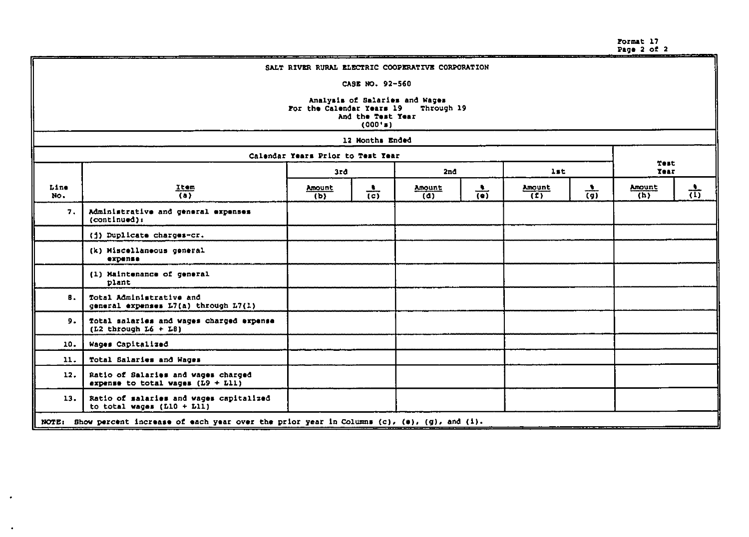Format 17 Page 2 of <sup>2</sup>

| SALT RIVER RURAL ELECTRIC COOPERATIVE CORPORATION |                                                                                                               |                                   |                 |               |                 |               |                 |                     |                 |  |
|---------------------------------------------------|---------------------------------------------------------------------------------------------------------------|-----------------------------------|-----------------|---------------|-----------------|---------------|-----------------|---------------------|-----------------|--|
|                                                   | CASE NO. 92-560                                                                                               |                                   |                 |               |                 |               |                 |                     |                 |  |
|                                                   | Analysis of Salaries and Wages<br>For the Calendar Years 19<br>Through 19<br>And the Test Year<br>$(000'$ = ) |                                   |                 |               |                 |               |                 |                     |                 |  |
|                                                   |                                                                                                               |                                   | 12 Months Ended |               |                 |               |                 |                     |                 |  |
|                                                   |                                                                                                               | Calendar Years Prior to Test Year |                 |               |                 |               |                 |                     |                 |  |
|                                                   |                                                                                                               | 3rd                               |                 | 2nd           |                 | lst           |                 | Test<br><b>Tear</b> |                 |  |
| Line<br>No.                                       | $\frac{Item}{(a)}$                                                                                            | Amount<br>(b)                     | $\frac{1}{(c)}$ | Amount<br>(d) | $\frac{1}{(n)}$ | Amount<br>(1) | $\frac{1}{(g)}$ | Amount<br>(h)       | $\frac{1}{(1)}$ |  |
| 7.                                                | Administrative and general expenses<br>(conditional):                                                         |                                   |                 |               |                 |               |                 |                     |                 |  |
|                                                   | (j) Duplicate charges-cr.                                                                                     |                                   |                 |               |                 |               |                 |                     |                 |  |
|                                                   | (k) Miscellaneous general<br>expense                                                                          |                                   |                 |               |                 |               |                 |                     |                 |  |
|                                                   | (1) Maintenance of general<br>plant                                                                           |                                   |                 |               |                 |               |                 |                     |                 |  |
| В.                                                | Total Administrative and<br>general expenses $L7(a)$ through $L7(1)$                                          |                                   |                 |               |                 |               |                 |                     |                 |  |
| 9.                                                | Total salaries and wages charged expense<br>$(L2$ through $L6 + L8$ )                                         |                                   |                 |               |                 |               |                 |                     |                 |  |
| 10.                                               | Wages Capitalized                                                                                             |                                   |                 |               |                 |               |                 |                     |                 |  |
| 11.                                               | Total Salaries and Wages                                                                                      |                                   |                 |               |                 |               |                 |                     |                 |  |
| 12.                                               | Ratio of Salaries and wages charged<br>expense to total wages $(L9 + L11)$                                    |                                   |                 |               |                 |               |                 |                     |                 |  |
| 13.                                               | Ratio of salaries and wages capitalized<br>to total wages $(L10 + L11)$                                       |                                   |                 |               |                 |               |                 |                     |                 |  |
|                                                   | NOTE: Show percent increase of each year over the prior year in Columns (c), (e), (g), and (i).               |                                   |                 |               |                 |               |                 |                     |                 |  |

 $\bullet$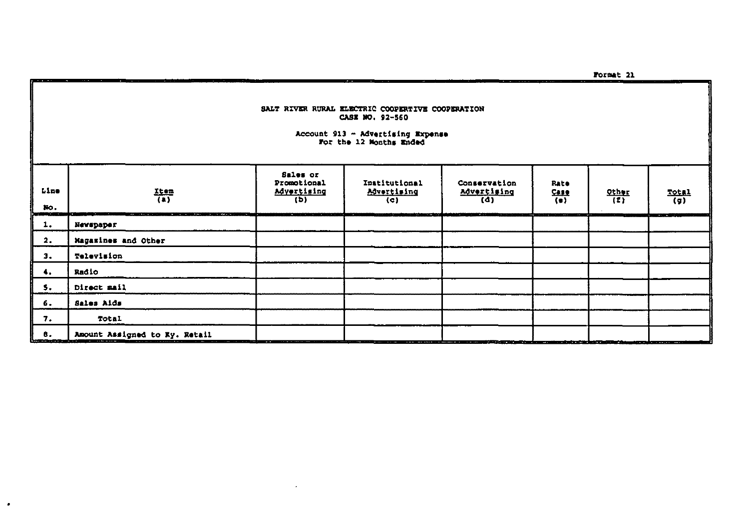SALT RIVER RURAL ELECTRIC COOPERTIVE COOPERATION CASE NO. 92-560

Account 913 - Advertising Expense<br>For the 12 Months Ended

- -

| Line<br>No.<br>وينتقابها                     | $\frac{Item}{(1)}$<br><b>START AND</b><br>$1 - 100 = 1$ | Sales or<br>Promotional<br>Advertising<br>(b)<br><u> 1979 - 1989 - 1989 - 1989 - 1989 - 1989 - 1989 - 1989 - 1989 - 1989 - 1989 - 1989 - 1989 - 1989 - 1989 - 198</u> | Institutional<br>Advertising<br>(c)<br>ألوير التراجي وينتج الرابشين | Conservation<br>Advertising<br>(d)<br>فتخاط لحالت القاقلة فتقاط فالأراداء | Rate<br>$\frac{C_{\text{R}}}{\left(\frac{1}{2}\right)}$ | $\frac{QC_{\text{HSE}}}{L}$<br>m | $rac{Total}{(g)}$<br>TOWARD SERVICE |
|----------------------------------------------|---------------------------------------------------------|-----------------------------------------------------------------------------------------------------------------------------------------------------------------------|---------------------------------------------------------------------|---------------------------------------------------------------------------|---------------------------------------------------------|----------------------------------|-------------------------------------|
| 1.                                           | Newspaper                                               |                                                                                                                                                                       |                                                                     |                                                                           |                                                         |                                  |                                     |
| 2.                                           | Magazines and Other                                     |                                                                                                                                                                       |                                                                     |                                                                           |                                                         |                                  |                                     |
| з.                                           | Television                                              |                                                                                                                                                                       |                                                                     |                                                                           |                                                         |                                  |                                     |
| 4.                                           | Radio                                                   |                                                                                                                                                                       |                                                                     |                                                                           |                                                         |                                  |                                     |
| 5.                                           | Direct mail                                             |                                                                                                                                                                       |                                                                     |                                                                           |                                                         |                                  |                                     |
| 6.                                           | Sales Aids                                              |                                                                                                                                                                       |                                                                     |                                                                           |                                                         |                                  |                                     |
| 7.                                           | Total                                                   |                                                                                                                                                                       |                                                                     |                                                                           |                                                         |                                  |                                     |
| 8.<br><u> Louis Communication de la part</u> | Amount Assigned to Ky. Retail                           |                                                                                                                                                                       |                                                                     |                                                                           |                                                         |                                  |                                     |

 $\cdot$ 

 $\bullet$ 

Format 21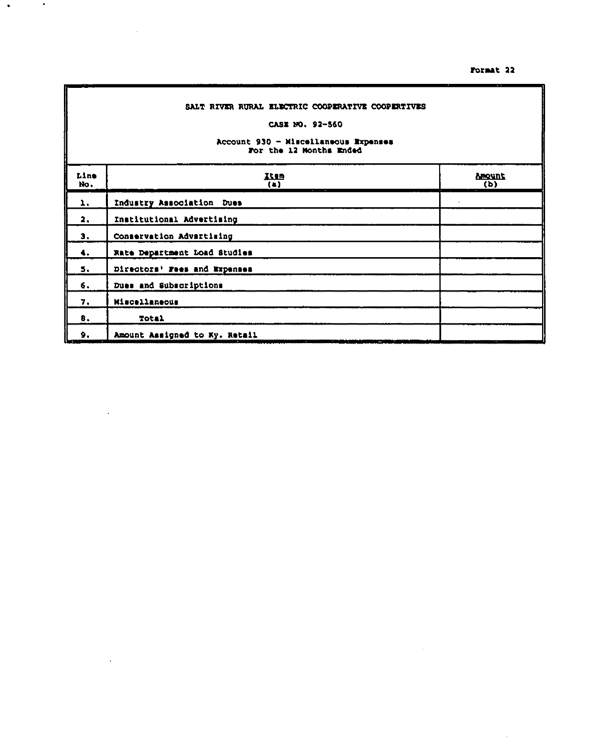#### Format 22

 $\sim$ 

 $\mathcal{A}^{\mathcal{A}}$ 

# SALT RIVER RURAL ELECTRIC COOPERATIVE COOPERTIVES

 $\sim$ 

 $\mathcal{L}_{\text{max}}$  ,  $\mathcal{L}_{\text{max}}$ 

 $\sim$ 

 $\ddot{\phantom{0}}$ 

 $\cdot$ 

# CASE NO. 92-560

# Account 930 - Miscellaneous Expenses<br>For the 12 Months Ended

| Line<br>No.      | Item<br>$\left( \bullet \right)$                          | Amount<br>(b) |
|------------------|-----------------------------------------------------------|---------------|
| 1.               | Industry Association Dues                                 |               |
| 2.               | Institutional Advertising                                 |               |
| 3.               | Conservation Advertising                                  |               |
| $\ddotsc$        | Rate Department Load Studies                              |               |
| 5.               | Directors' Fees and Expenses                              |               |
| 6.               | Dues and Subscriptions                                    |               |
| 7.               | Miscellaneous                                             |               |
| 8.               | Total                                                     |               |
| 9.<br>نتقاض النا | Amount Assigned to Ky. Retail<br>- 33<br>m<br><b>SALE</b> |               |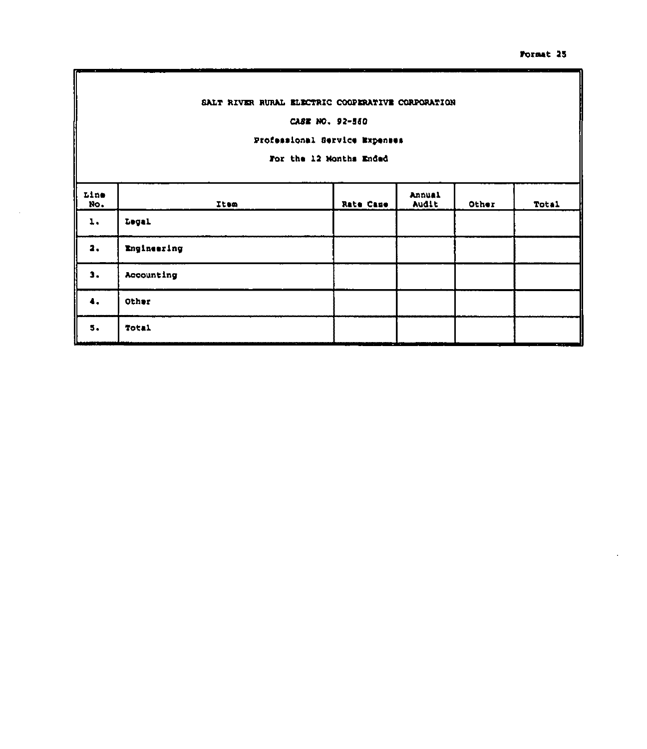## SALT RIVER RURAL ELECTRIC COOPERATIVE CORPORATION

#### CASE NO. 92-560

# Professional Service Expenses

For the 12 Months Ended

| Line<br>No. | Item        | Rate Case | Annual<br>AUGIE | Other | Total                                |
|-------------|-------------|-----------|-----------------|-------|--------------------------------------|
| ı.          | Legal       |           |                 |       |                                      |
| 2.          | Engineering |           |                 |       |                                      |
| з.          | Accounting  |           |                 |       |                                      |
| 4.          | Other       |           |                 |       |                                      |
| 5.          | Total       |           | $-$             |       | $\mathbf{A} = \mathbf{A} \mathbf{A}$ |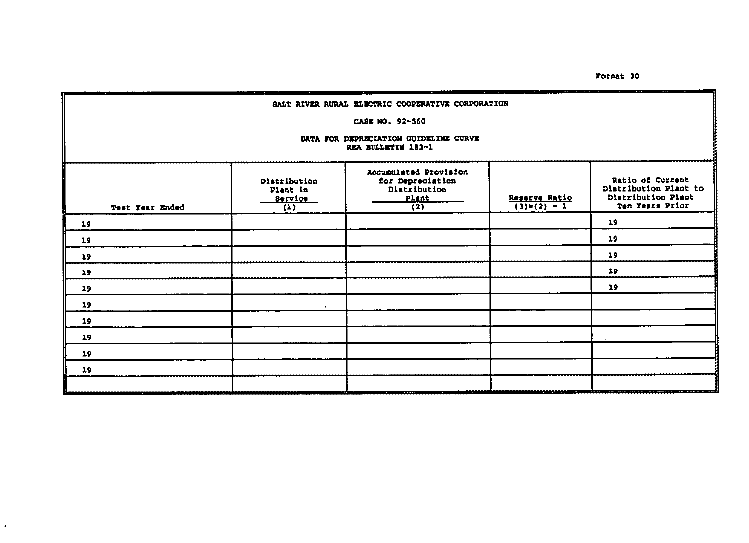Format 30

| SALT RIVER RURAL ELECTRIC COOPERATIVE CORPORATION |                                                                  |                                                                                        |                              |                                                                                    |  |  |  |  |
|---------------------------------------------------|------------------------------------------------------------------|----------------------------------------------------------------------------------------|------------------------------|------------------------------------------------------------------------------------|--|--|--|--|
|                                                   | CASE NO. 92-560                                                  |                                                                                        |                              |                                                                                    |  |  |  |  |
|                                                   | DATA FOR DEPRECIATION GUIDELINE CURVE<br>REA BULLETIM 183-1      |                                                                                        |                              |                                                                                    |  |  |  |  |
| Test Year Ended                                   | Distribution<br>Plant in<br>Service<br>$\overline{(\mathbf{1})}$ | Accumulated Provision<br>for Depreciation<br>Distribution<br>Plant<br>$\overline{(2)}$ | Reserve Ratio<br>(3)=(2) - 1 | Ratio of Current<br>Distribution Plant to<br>Distribution Plant<br>Ten Years Prior |  |  |  |  |
| 19                                                |                                                                  |                                                                                        |                              | 19                                                                                 |  |  |  |  |
| 19                                                |                                                                  |                                                                                        |                              | 19                                                                                 |  |  |  |  |
| 19                                                |                                                                  |                                                                                        |                              | 19                                                                                 |  |  |  |  |
| 19                                                |                                                                  |                                                                                        |                              | 19                                                                                 |  |  |  |  |
| 19                                                |                                                                  |                                                                                        |                              | 19                                                                                 |  |  |  |  |
| 19                                                |                                                                  |                                                                                        |                              |                                                                                    |  |  |  |  |
| 19                                                |                                                                  |                                                                                        |                              |                                                                                    |  |  |  |  |
| 19                                                |                                                                  |                                                                                        |                              |                                                                                    |  |  |  |  |
| 19                                                |                                                                  |                                                                                        |                              |                                                                                    |  |  |  |  |
| 19                                                |                                                                  |                                                                                        |                              |                                                                                    |  |  |  |  |
|                                                   |                                                                  |                                                                                        |                              |                                                                                    |  |  |  |  |

 $\cdot$